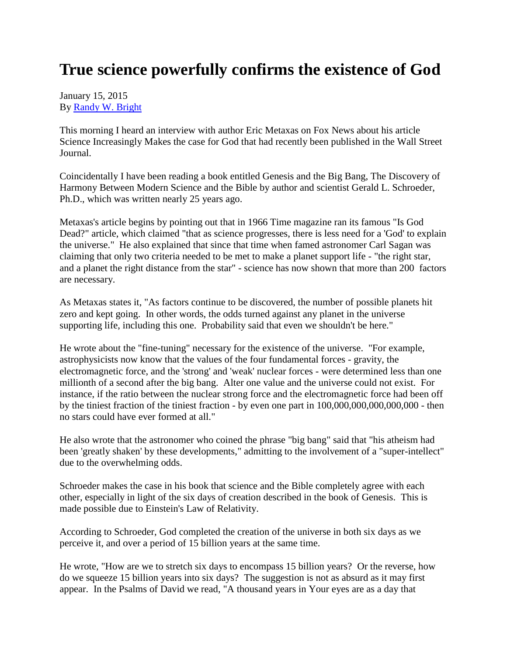## **True science powerfully confirms the existence of God**

## January 15, 2015 By [Randy W. Bright](http://www.tulsabeacon.com/author/slug-o6yd1v)

This morning I heard an interview with author Eric Metaxas on Fox News about his article Science Increasingly Makes the case for God that had recently been published in the Wall Street Journal.

Coincidentally I have been reading a book entitled Genesis and the Big Bang, The Discovery of Harmony Between Modern Science and the Bible by author and scientist Gerald L. Schroeder, Ph.D., which was written nearly 25 years ago.

Metaxas's article begins by pointing out that in 1966 Time magazine ran its famous "Is God Dead?" article, which claimed "that as science progresses, there is less need for a 'God' to explain the universe." He also explained that since that time when famed astronomer Carl Sagan was claiming that only two criteria needed to be met to make a planet support life - "the right star, and a planet the right distance from the star" - science has now shown that more than 200 factors are necessary.

As Metaxas states it, "As factors continue to be discovered, the number of possible planets hit zero and kept going. In other words, the odds turned against any planet in the universe supporting life, including this one. Probability said that even we shouldn't be here."

He wrote about the "fine-tuning" necessary for the existence of the universe. "For example, astrophysicists now know that the values of the four fundamental forces - gravity, the electromagnetic force, and the 'strong' and 'weak' nuclear forces - were determined less than one millionth of a second after the big bang. Alter one value and the universe could not exist. For instance, if the ratio between the nuclear strong force and the electromagnetic force had been off by the tiniest fraction of the tiniest fraction - by even one part in 100,000,000,000,000,000 - then no stars could have ever formed at all."

He also wrote that the astronomer who coined the phrase "big bang" said that "his atheism had been 'greatly shaken' by these developments," admitting to the involvement of a "super-intellect" due to the overwhelming odds.

Schroeder makes the case in his book that science and the Bible completely agree with each other, especially in light of the six days of creation described in the book of Genesis. This is made possible due to Einstein's Law of Relativity.

According to Schroeder, God completed the creation of the universe in both six days as we perceive it, and over a period of 15 billion years at the same time.

He wrote, "How are we to stretch six days to encompass 15 billion years? Or the reverse, how do we squeeze 15 billion years into six days? The suggestion is not as absurd as it may first appear. In the Psalms of David we read, "A thousand years in Your eyes are as a day that